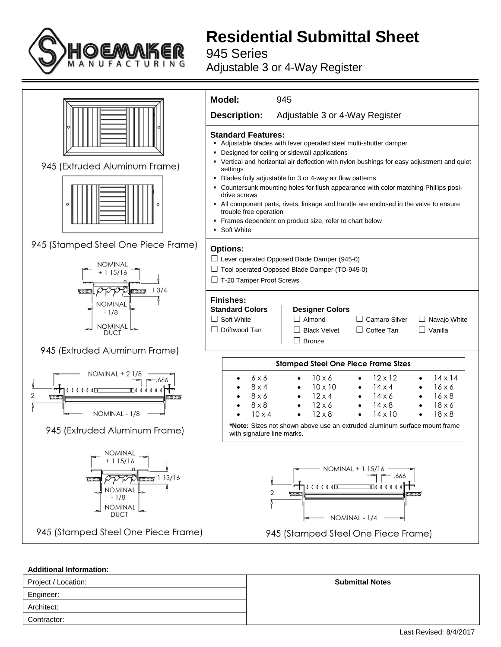

**Residential Submittal Sheet**

945 Series

## Adjustable 3 or 4-Way Register



## **Additional Information:**

| Project / Location: | <b>Submittal Notes</b> |
|---------------------|------------------------|
| Engineer:           |                        |
| Architect:          |                        |
| Contractor:         |                        |